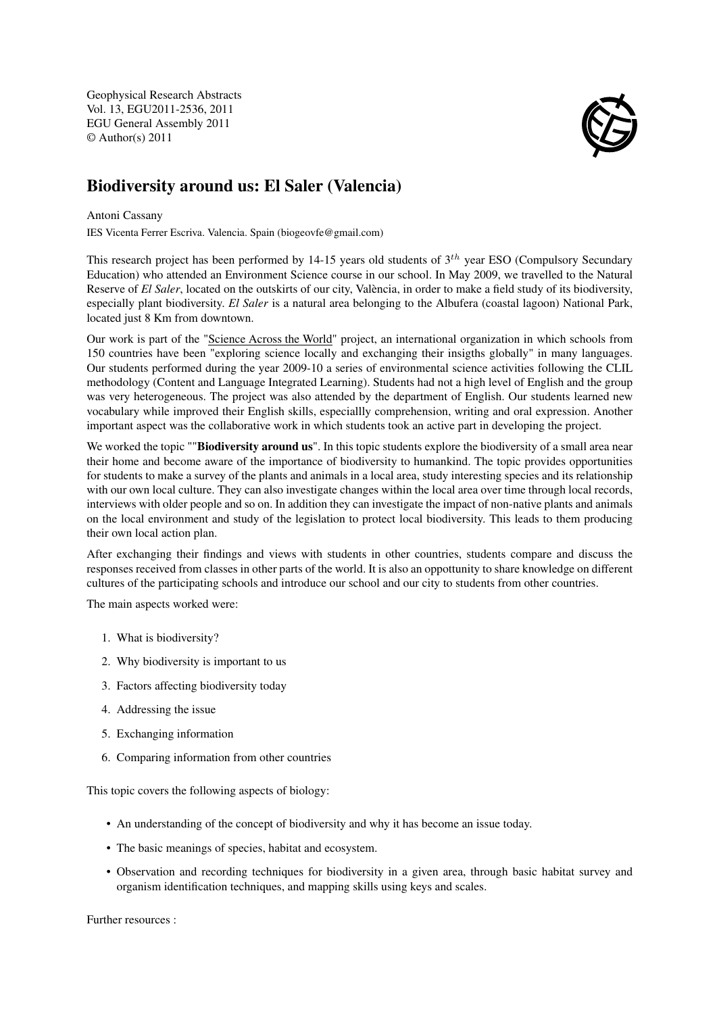Geophysical Research Abstracts Vol. 13, EGU2011-2536, 2011 EGU General Assembly 2011 © Author(s) 2011



## Biodiversity around us: El Saler (Valencia)

## Antoni Cassany

IES Vicenta Ferrer Escriva. Valencia. Spain (biogeovfe@gmail.com)

This research project has been performed by 14-15 years old students of  $3<sup>th</sup>$  year ESO (Compulsory Secundary Education) who attended an Environment Science course in our school. In May 2009, we travelled to the Natural Reserve of *El Saler*, located on the outskirts of our city, València, in order to make a field study of its biodiversity, especially plant biodiversity. *El Saler* is a natural area belonging to the Albufera (coastal lagoon) National Park, located just 8 Km from downtown.

Our work is part of the "Science Across the World" project, an international organization in which schools from 150 countries have been "exploring science locally and exchanging their insigths globally" in many languages. Our students performed during the year 2009-10 a series of environmental science activities following the CLIL methodology (Content and Language Integrated Learning). Students had not a high level of English and the group was very heterogeneous. The project was also attended by the department of English. Our students learned new vocabulary while improved their English skills, especiallly comprehension, writing and oral expression. Another important aspect was the collaborative work in which students took an active part in developing the project.

We worked the topic ""Biodiversity around us". In this topic students explore the biodiversity of a small area near their home and become aware of the importance of biodiversity to humankind. The topic provides opportunities for students to make a survey of the plants and animals in a local area, study interesting species and its relationship with our own local culture. They can also investigate changes within the local area over time through local records, interviews with older people and so on. In addition they can investigate the impact of non-native plants and animals on the local environment and study of the legislation to protect local biodiversity. This leads to them producing their own local action plan.

After exchanging their findings and views with students in other countries, students compare and discuss the responses received from classes in other parts of the world. It is also an oppottunity to share knowledge on different cultures of the participating schools and introduce our school and our city to students from other countries.

The main aspects worked were:

- 1. What is biodiversity?
- 2. Why biodiversity is important to us
- 3. Factors affecting biodiversity today
- 4. Addressing the issue
- 5. Exchanging information
- 6. Comparing information from other countries

This topic covers the following aspects of biology:

- An understanding of the concept of biodiversity and why it has become an issue today.
- The basic meanings of species, habitat and ecosystem.
- Observation and recording techniques for biodiversity in a given area, through basic habitat survey and organism identification techniques, and mapping skills using keys and scales.

Further resources :